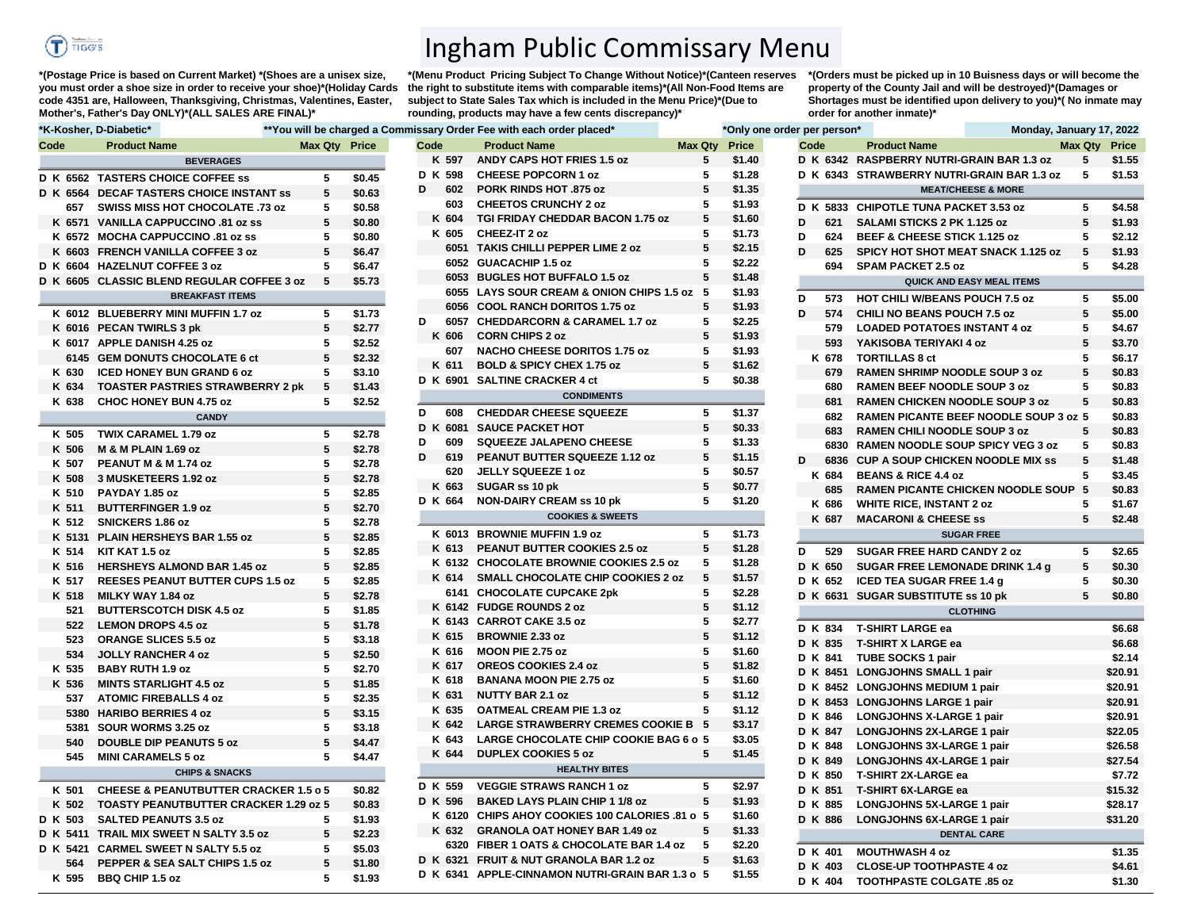

**\*(Postage Price is based on Current Market) \*(Shoes are a unisex size, you must order a shoe size in order to receive your shoe)\*(Holiday Cards code 4351 are, Halloween, Thanksgiving, Christmas, Valentines, Easter, Mother's, Father's Day ONLY)\*(ALL SALES ARE FINAL)\***

Ingham Public Commissary Menu

**\*(Menu Product Pricing Subject To Change Without Notice)\*(Canteen reserves the right to substitute items with comparable items)\*(All Non-Food Items are subject to State Sales Tax which is included in the Menu Price)\*(Due to rounding, products may have a few cents discrepancy)\*** 

**\*(Orders must be picked up in 10 Buisness days or will become the property of the County Jail and will be destroyed)\*(Damages or Shortages must be identified upon delivery to you)\*( No inmate may order for another inmate)\***

|      |         | <b>A</b>                                         |               |        |                | <b>TWO WILL BC UNDI YOU &amp; OUTILITIOUS Y OT SOLL FOURTH CAULT OF SIGHT</b> |                | <b>UNITY UNDER UNITY</b> | <b>POL POLOUL</b> | $11011001$ , variaaly $11, 202$            |                      |                 |
|------|---------|--------------------------------------------------|---------------|--------|----------------|-------------------------------------------------------------------------------|----------------|--------------------------|-------------------|--------------------------------------------|----------------------|-----------------|
| Code |         | <b>Product Name</b>                              | Max Qty Price |        | Code           | <b>Product Name</b>                                                           | <b>Max Qty</b> | Price                    | Code              | <b>Product Name</b>                        | <b>Max Qty Price</b> |                 |
|      |         | <b>BEVERAGES</b>                                 |               |        | K 597          | <b>ANDY CAPS HOT FRIES 1.5 oz</b>                                             | 5              | \$1.40                   |                   | D K 6342 RASPBERRY NUTRI-GRAIN BAR 1.3 oz  | 5                    | \$1.55          |
|      |         | D K 6562 TASTERS CHOICE COFFEE SS                | 5             | \$0.45 | D K 598        | <b>CHEESE POPCORN 1 oz</b>                                                    | 5              | \$1.28                   |                   | D K 6343 STRAWBERRY NUTRI-GRAIN BAR 1.3 oz | 5                    | \$1.5           |
|      |         | D K 6564 DECAF TASTERS CHOICE INSTANT SS         | 5             | \$0.63 | D<br>602       | <b>PORK RINDS HOT .875 oz</b>                                                 | 5              | \$1.35                   |                   | <b>MEAT/CHEESE &amp; MORE</b>              |                      |                 |
|      | 657     | SWISS MISS HOT CHOCOLATE .73 oz                  | 5             | \$0.58 | 603            | <b>CHEETOS CRUNCHY 2 oz</b>                                                   | 5              | \$1.93                   |                   | D K 5833 CHIPOTLE TUNA PACKET 3.53 oz      | 5                    | \$4.55          |
|      |         | K 6571 VANILLA CAPPUCCINO .81 oz ss              | 5             | \$0.80 | K 604          | <b>TGI FRIDAY CHEDDAR BACON 1.75 oz</b>                                       | 5              | \$1.60                   | D<br>621          | SALAMI STICKS 2 PK 1.125 oz                | 5                    | \$1.9           |
|      |         | K 6572 MOCHA CAPPUCCINO .81 oz ss                | 5             | \$0.80 | K 605          | CHEEZ-IT 2 oz                                                                 | 5              | \$1.73                   | D<br>624          | BEEF & CHEESE STICK 1.125 oz               | 5                    | \$2.12          |
|      |         | K 6603 FRENCH VANILLA COFFEE 3 oz                | 5             | \$6.47 |                | 6051 TAKIS CHILLI PEPPER LIME 2 oz                                            | 5              | \$2.15                   | D<br>625          | <b>SPICY HOT SHOT MEAT SNACK 1.125 oz</b>  | 5                    | \$1.9           |
|      |         | D K 6604 HAZELNUT COFFEE 3 oz                    | 5             | \$6.47 |                | 6052 GUACACHIP 1.5 oz                                                         | 5              | \$2.22                   | 694               | <b>SPAM PACKET 2.5 oz</b>                  | 5                    | \$4.25          |
|      |         | D K 6605 CLASSIC BLEND REGULAR COFFEE 3 oz       | 5             | \$5.73 |                | 6053 BUGLES HOT BUFFALO 1.5 oz                                                | 5              | \$1.48                   |                   | QUICK AND EASY MEAL ITEMS                  |                      |                 |
|      |         | <b>BREAKFAST ITEMS</b>                           |               |        |                | 6055 LAYS SOUR CREAM & ONION CHIPS 1.5 oz 5                                   |                | \$1.93                   | D<br>573          | <b>HOT CHILI W/BEANS POUCH 7.5 oz</b>      | 5.                   | \$5.0           |
|      |         | K 6012 BLUEBERRY MINI MUFFIN 1.7 oz              | 5             | \$1.73 |                | 6056 COOL RANCH DORITOS 1.75 oz                                               | 5              | \$1.93                   | D<br>574          | CHILI NO BEANS POUCH 7.5 oz                | 5                    | \$5.0           |
|      |         | K 6016 PECAN TWIRLS 3 pk                         | 5             | \$2.77 | D<br>6057      | <b>CHEDDARCORN &amp; CARAMEL 1.7 oz</b>                                       | 5              | \$2.25                   | 579               | <b>LOADED POTATOES INSTANT 4 oz</b>        | 5                    | \$4.6           |
|      |         | K 6017 APPLE DANISH 4.25 oz                      | 5             | \$2.52 | K 606          | <b>CORN CHIPS 2 oz</b>                                                        | 5              | \$1.93                   | 593               | YAKISOBA TERIYAKI 4 oz                     | 5                    | \$3.7           |
|      |         |                                                  |               |        | 607            | <b>NACHO CHEESE DORITOS 1.75 oz</b>                                           | 5              | \$1.93                   |                   |                                            |                      |                 |
|      |         | 6145 GEM DONUTS CHOCOLATE 6 ct                   | 5             | \$2.32 | K 611          | <b>BOLD &amp; SPICY CHEX 1.75 oz</b>                                          | 5              | \$1.62                   | K 678             | <b>TORTILLAS 8 ct</b>                      |                      | \$6.1           |
|      | K 630   | <b>ICED HONEY BUN GRAND 6 oz</b>                 | 5<br>5        | \$3.10 |                | D K 6901 SALTINE CRACKER 4 ct                                                 | 5              | \$0.38                   | 679               | RAMEN SHRIMP NOODLE SOUP 3 oz              | 5<br>5               | \$0.8           |
|      | K 634   | <b>TOASTER PASTRIES STRAWBERRY 2 pk</b>          |               | \$1.43 |                | <b>CONDIMENTS</b>                                                             |                |                          | 680               | <b>RAMEN BEEF NOODLE SOUP 3 oz</b>         | 5                    | \$0.8           |
|      | K 638   | CHOC HONEY BUN 4.75 oz                           | 5             | \$2.52 | D<br>608       | <b>CHEDDAR CHEESE SQUEEZE</b>                                                 | 5              | \$1.37                   | 681               | <b>RAMEN CHICKEN NOODLE SOUP 3 oz</b>      |                      | \$0.8           |
|      |         | <b>CANDY</b>                                     |               |        | D K<br>6081    | <b>SAUCE PACKET HOT</b>                                                       | 5              | \$0.33                   | 682               | RAMEN PICANTE BEEF NOODLE SOUP 3 oz 5      |                      | \$0.8           |
|      | K 505   | <b>TWIX CARAMEL 1.79 oz</b>                      | 5             | \$2.78 | D<br>609       | <b>SQUEEZE JALAPENO CHEESE</b>                                                | 5              | \$1.33                   | 683               | <b>RAMEN CHILI NOODLE SOUP 3 oz</b>        | 5                    | \$0.8           |
|      | K 506   | <b>M &amp; M PLAIN 1.69 oz</b>                   | 5             | \$2.78 | D<br>619       | PEANUT BUTTER SQUEEZE 1.12 oz                                                 | 5              | \$1.15                   | 6830<br>D         | <b>RAMEN NOODLE SOUP SPICY VEG 3 oz</b>    | 5                    | \$0.8           |
|      | K 507   | PEANUT M & M 1.74 oz                             | 5             | \$2.78 | 620            | JELLY SQUEEZE 1 oz                                                            | 5              | \$0.57                   | 6836              | <b>CUP A SOUP CHICKEN NOODLE MIX SS</b>    | 5<br>5               | \$1.48          |
|      | K 508   | 3 MUSKETEERS 1.92 oz                             | 5             | \$2.78 | K 663          | SUGAR ss 10 pk                                                                | 5              | \$0.77                   | K 684<br>685      | <b>BEANS &amp; RICE 4.4 oz</b>             | 5                    | \$3.45          |
|      | K 510   | PAYDAY 1.85 oz                                   | 5             | \$2.85 | D K 664        | <b>NON-DAIRY CREAM ss 10 pk</b>                                               | 5              | \$1.20                   |                   | <b>RAMEN PICANTE CHICKEN NOODLE SOUP</b>   | 5                    | \$0.8           |
|      | K 511   | <b>BUTTERFINGER 1.9 oz</b>                       | 5             | \$2.70 |                | <b>COOKIES &amp; SWEETS</b>                                                   |                |                          | K 686<br>K 687    | <b>WHITE RICE, INSTANT 2 oz</b>            | 5                    | \$1.6<br>\$2.48 |
|      | K 512   | <b>SNICKERS 1.86 oz</b>                          | 5             | \$2.78 |                | K 6013 BROWNIE MUFFIN 1.9 oz                                                  | 5              | \$1.73                   |                   | <b>MACARONI &amp; CHEESE ss</b>            |                      |                 |
|      |         | K 5131 PLAIN HERSHEYS BAR 1.55 oz                | 5             | \$2.85 |                | K 613 PEANUT BUTTER COOKIES 2.5 oz                                            | 5              |                          |                   | <b>SUGAR FREE</b>                          |                      |                 |
|      | K 514   | KIT KAT 1.5 oz                                   | 5             | \$2.85 |                | K 6132 CHOCOLATE BROWNIE COOKIES 2.5 oz                                       | 5              | \$1.28                   | D<br>529          | <b>SUGAR FREE HARD CANDY 2 oz</b>          | 5                    | \$2.6           |
|      | K 516   | <b>HERSHEYS ALMOND BAR 1.45 oz</b>               | 5             | \$2.85 | K 614          | <b>SMALL CHOCOLATE CHIP COOKIES 2 oz</b>                                      | 5              | \$1.28<br>\$1.57         | D K 650           | <b>SUGAR FREE LEMONADE DRINK 1.4 g</b>     | 5                    | \$0.30          |
|      | K 517   | <b>REESES PEANUT BUTTER CUPS 1.5 oz</b>          | 5             | \$2.85 |                |                                                                               | 5              |                          | D K 652           | <b>ICED TEA SUGAR FREE 1.4 g</b>           | 5                    | \$0.30          |
|      | K 518   | MILKY WAY 1.84 oz                                | 5             | \$2.78 |                | 6141 CHOCOLATE CUPCAKE 2pk                                                    |                | \$2.28                   |                   | D K 6631 SUGAR SUBSTITUTE ss 10 pk         | 5                    | \$0.8           |
|      | 521     | <b>BUTTERSCOTCH DISK 4.5 oz</b>                  | 5             | \$1.85 |                | K 6142 FUDGE ROUNDS 2 oz                                                      | 5<br>5         | \$1.12<br>\$2.77         |                   | <b>CLOTHING</b>                            |                      |                 |
|      | 522     | <b>LEMON DROPS 4.5 oz</b>                        | 5             | \$1.78 |                | K 6143 CARROT CAKE 3.5 oz                                                     | 5              | \$1.12                   | D K 834           | <b>T-SHIRT LARGE ea</b>                    |                      | \$6.6           |
|      | 523     | <b>ORANGE SLICES 5.5 oz</b>                      | 5             | \$3.18 | K 615          | <b>BROWNIE 2.33 oz</b>                                                        | 5              |                          | D K 835           | <b>T-SHIRT X LARGE ea</b>                  |                      | \$6.6           |
|      | 534     | <b>JOLLY RANCHER 4 oz</b>                        | 5             | \$2.50 | K 616<br>K 617 | <b>MOON PIE 2.75 oz</b><br><b>OREOS COOKIES 2.4 oz</b>                        | 5              | \$1.60<br>\$1.82         | D K 841           | <b>TUBE SOCKS 1 pair</b>                   |                      | \$2.1           |
|      | K 535   | <b>BABY RUTH 1.9 oz</b>                          | 5             | \$2.70 | K 618          |                                                                               | 5              | \$1.60                   |                   | D K 8451 LONGJOHNS SMALL 1 pair            |                      | \$20.9          |
|      | K 536   | <b>MINTS STARLIGHT 4.5 oz</b>                    | 5             | \$1.85 | K 631          | <b>BANANA MOON PIE 2.75 oz</b><br><b>NUTTY BAR 2.1 oz</b>                     | 5              | \$1.12                   |                   | D K 8452 LONGJOHNS MEDIUM 1 pair           |                      | \$20.9          |
|      | 537     | <b>ATOMIC FIREBALLS 4 oz</b>                     | 5             | \$2.35 | K 635          | <b>OATMEAL CREAM PIE 1.3 oz</b>                                               | 5              | \$1.12                   |                   | D K 8453 LONGJOHNS LARGE 1 pair            |                      | \$20.9          |
|      |         | 5380 HARIBO BERRIES 4 oz                         | 5             | \$3.15 | K 642          | LARGE STRAWBERRY CREMES COOKIE B 5                                            |                | \$3.17                   | D K 846           | <b>LONGJOHNS X-LARGE 1 pair</b>            |                      | \$20.9          |
|      |         | 5381 SOUR WORMS 3.25 oz                          | 5             | \$3.18 | K 643          | LARGE CHOCOLATE CHIP COOKIE BAG 6 o 5                                         |                | \$3.05                   | D K 847           | <b>LONGJOHNS 2X-LARGE 1 pair</b>           |                      | \$22.0          |
|      | 540     | <b>DOUBLE DIP PEANUTS 5 oz</b>                   | 5             | \$4.47 | K 644          |                                                                               | 5              |                          | D K 848           | LONGJOHNS 3X-LARGE 1 pair                  |                      | \$26.5          |
|      | 545     | <b>MINI CARAMELS 5 oz</b>                        | 5             | \$4.47 |                | <b>DUPLEX COOKIES 5 oz</b>                                                    |                | \$1.45                   | D K 849           | <b>LONGJOHNS 4X-LARGE 1 pair</b>           |                      | \$27.5          |
|      |         | <b>CHIPS &amp; SNACKS</b>                        |               |        |                | <b>HEALTHY BITES</b>                                                          |                |                          | D K 850           | <b>T-SHIRT 2X-LARGE ea</b>                 |                      | \$7.7           |
|      | K 501   | <b>CHEESE &amp; PEANUTBUTTER CRACKER 1.5 o 5</b> |               | \$0.82 | D K 559        | <b>VEGGIE STRAWS RANCH 1 oz</b>                                               | 5              | \$2.97                   | D K 851           | <b>T-SHIRT 6X-LARGE ea</b>                 |                      | \$15.3          |
|      | K 502   | <b>TOASTY PEANUTBUTTER CRACKER 1.29 oz 5</b>     |               | \$0.83 | D K 596        | <b>BAKED LAYS PLAIN CHIP 1 1/8 oz</b>                                         | 5              | \$1.93                   | D K 885           | LONGJOHNS 5X-LARGE 1 pair                  |                      | \$28.1          |
|      | D K 503 | <b>SALTED PEANUTS 3.5 oz</b>                     | 5             | \$1.93 |                | K 6120 CHIPS AHOY COOKIES 100 CALORIES .81 o 5                                |                | \$1.60                   | D K 886           | LONGJOHNS 6X-LARGE 1 pair                  |                      | \$31.2          |
|      |         | D K 5411 TRAIL MIX SWEET N SALTY 3.5 oz          | 5             | \$2.23 | K 632          | <b>GRANOLA OAT HONEY BAR 1.49 oz</b>                                          | 5              | \$1.33                   |                   | <b>DENTAL CARE</b>                         |                      |                 |
|      |         | D K 5421 CARMEL SWEET N SALTY 5.5 oz             | 5             | \$5.03 |                | 6320 FIBER 1 OATS & CHOCOLATE BAR 1.4 oz                                      | -5             | \$2.20                   | D K 401           | <b>MOUTHWASH 4 oz</b>                      |                      | \$1.35          |
|      | 564     | PEPPER & SEA SALT CHIPS 1.5 oz                   | 5             | \$1.80 |                | D K 6321 FRUIT & NUT GRANOLA BAR 1.2 oz                                       | 5              | \$1.63                   |                   | D K 403 CLOSE-UP TOOTHPASTE 4 oz           |                      | \$4.6           |
|      | K 595   | <b>BBQ CHIP 1.5 oz</b>                           | 5             | \$1.93 |                | D K 6341 APPLE-CINNAMON NUTRI-GRAIN BAR 1.3 o 5                               |                | \$1.55                   |                   | D K 404 TOOTHPASTE COLOATE 85.07           |                      | \$1.30          |

|      |         | *K-Kosher, D-Diabetic*                           |   |                      |      |                | **You will be charged a Commissary Order Fee with each order placed*    |         | *Only one or     |
|------|---------|--------------------------------------------------|---|----------------------|------|----------------|-------------------------------------------------------------------------|---------|------------------|
| Code |         | <b>Product Name</b>                              |   | <b>Max Qty</b> Price | Code |                | <b>Product Name</b>                                                     | Max Qty | Price            |
|      |         | <b>BEVERAGES</b>                                 |   |                      |      | K 597          | ANDY CAPS HOT FRIES 1.5 oz                                              | 5       | \$1.40           |
|      |         | D K 6562 TASTERS CHOICE COFFEE ss                | 5 | \$0.45               |      | D K 598        | <b>CHEESE POPCORN 1 oz</b>                                              | 5       | \$1.28           |
|      |         | D K 6564 DECAF TASTERS CHOICE INSTANT SS         | 5 | \$0.63               | D    | 602            | <b>PORK RINDS HOT .875 oz</b>                                           | 5       | \$1.35           |
|      | 657     | SWISS MISS HOT CHOCOLATE .73 oz                  | 5 | \$0.58               |      | 603            | <b>CHEETOS CRUNCHY 2 oz</b>                                             | 5       | \$1.93           |
|      |         | K 6571 VANILLA CAPPUCCINO .81 oz ss              | 5 | \$0.80               |      | K 604          | <b>TGI FRIDAY CHEDDAR BACON 1.75 oz</b>                                 | 5       | \$1.60           |
|      |         | K 6572 MOCHA CAPPUCCINO .81 oz ss                | 5 | \$0.80               |      | K 605          | CHEEZ-IT 2 oz                                                           | 5       | \$1.73           |
|      |         | K 6603 FRENCH VANILLA COFFEE 3 oz                | 5 | \$6.47               |      |                | 6051 TAKIS CHILLI PEPPER LIME 2 oz                                      | 5       | \$2.15           |
|      |         | D K 6604 HAZELNUT COFFEE 3 oz                    | 5 | \$6.47               |      |                | 6052 GUACACHIP 1.5 oz                                                   | 5       | \$2.22           |
|      |         | D K 6605 CLASSIC BLEND REGULAR COFFEE 3 oz       | 5 | \$5.73               |      |                | 6053 BUGLES HOT BUFFALO 1.5 oz                                          | 5       | \$1.48           |
|      |         | <b>BREAKFAST ITEMS</b>                           |   |                      |      |                | 6055 LAYS SOUR CREAM & ONION CHIPS 1.5 oz 5                             |         | \$1.93           |
|      |         | K 6012 BLUEBERRY MINI MUFFIN 1.7 oz              | 5 | \$1.73               |      |                | 6056 COOL RANCH DORITOS 1.75 oz                                         | 5       | \$1.93           |
|      |         | K 6016 PECAN TWIRLS 3 pk                         | 5 | \$2.77               | D    |                | 6057 CHEDDARCORN & CARAMEL 1.7 oz                                       | 5       | \$2.25           |
|      |         | K 6017 APPLE DANISH 4.25 oz                      | 5 |                      |      | K 606          | <b>CORN CHIPS 2 oz</b>                                                  | 5       | \$1.93           |
|      |         |                                                  | 5 | \$2.52               |      | 607            | <b>NACHO CHEESE DORITOS 1.75 oz</b>                                     | 5       | \$1.93           |
|      | K 630   | 6145 GEM DONUTS CHOCOLATE 6 ct                   |   | \$2.32               |      | K 611          | <b>BOLD &amp; SPICY CHEX 1.75 oz</b>                                    | 5       | \$1.62           |
|      | K 634   | <b>ICED HONEY BUN GRAND 6 oz</b>                 | 5 | \$3.10               |      |                | D K 6901 SALTINE CRACKER 4 ct                                           | 5       | \$0.38           |
|      |         | <b>TOASTER PASTRIES STRAWBERRY 2 pk</b>          | 5 | \$1.43               |      |                | <b>CONDIMENTS</b>                                                       |         |                  |
|      | K 638   | CHOC HONEY BUN 4.75 oz<br><b>CANDY</b>           | 5 | \$2.52               | D    | 608            | <b>CHEDDAR CHEESE SQUEEZE</b>                                           | 5       | \$1.37           |
|      |         |                                                  |   |                      |      | D K 6081       | <b>SAUCE PACKET HOT</b>                                                 | 5       | \$0.33           |
|      | K 505   | <b>TWIX CARAMEL 1.79 oz</b>                      | 5 | \$2.78               | D    | 609            | <b>SQUEEZE JALAPENO CHEESE</b>                                          | 5       | \$1.33           |
|      | K 506   | <b>M &amp; M PLAIN 1.69 oz</b>                   | 5 | \$2.78               | D    | 619            | PEANUT BUTTER SQUEEZE 1.12 oz                                           | 5       | \$1.15           |
|      | K 507   | PEANUT M & M 1.74 oz                             | 5 | \$2.78               |      | 620            | JELLY SQUEEZE 1 oz                                                      | 5       | \$0.57           |
|      | K 508   | 3 MUSKETEERS 1.92 oz                             | 5 | \$2.78               |      | K 663          | SUGAR ss 10 pk                                                          | 5       | \$0.77           |
|      | K 510   | PAYDAY 1.85 oz                                   | 5 | \$2.85               |      | D K 664        | <b>NON-DAIRY CREAM ss 10 pk</b>                                         | 5       | \$1.20           |
|      | K 511   | <b>BUTTERFINGER 1.9 oz</b>                       | 5 | \$2.70               |      |                | <b>COOKIES &amp; SWEETS</b>                                             |         |                  |
|      | K 512   | SNICKERS 1.86 oz                                 | 5 | \$2.78               |      |                |                                                                         | 5       |                  |
|      |         | K 5131 PLAIN HERSHEYS BAR 1.55 oz                | 5 | \$2.85               |      | K 613          | K 6013 BROWNIE MUFFIN 1.9 oz                                            |         | \$1.73           |
|      | K 514   | KIT KAT 1.5 oz                                   | 5 | \$2.85               |      |                | PEANUT BUTTER COOKIES 2.5 oz<br>K 6132 CHOCOLATE BROWNIE COOKIES 2.5 oz | 5<br>5  | \$1.28<br>\$1.28 |
|      | K 516   | <b>HERSHEYS ALMOND BAR 1.45 oz</b>               | 5 | \$2.85               |      | K 614          | <b>SMALL CHOCOLATE CHIP COOKIES 2 oz</b>                                | 5       |                  |
|      | K 517   | <b>REESES PEANUT BUTTER CUPS 1.5 oz</b>          | 5 | \$2.85               |      |                |                                                                         |         | \$1.57           |
|      | K 518   | MILKY WAY 1.84 oz                                | 5 | \$2.78               |      |                | 6141 CHOCOLATE CUPCAKE 2pk                                              | 5<br>5  | \$2.28           |
|      | 521     | <b>BUTTERSCOTCH DISK 4.5 oz</b>                  | 5 | \$1.85               |      |                | K 6142 FUDGE ROUNDS 2 oz                                                | 5       | \$1.12           |
|      | 522     | <b>LEMON DROPS 4.5 oz</b>                        | 5 | \$1.78               |      | K 615          | K 6143 CARROT CAKE 3.5 oz                                               | 5       | \$2.77           |
|      | 523     | <b>ORANGE SLICES 5.5 oz</b>                      | 5 | \$3.18               |      | K 616          | <b>BROWNIE 2.33 oz</b>                                                  | 5       | \$1.12           |
|      | 534     | <b>JOLLY RANCHER 4 oz</b>                        | 5 | \$2.50               |      |                | MOON PIE 2.75 oz                                                        |         | \$1.60           |
|      | K 535   | <b>BABY RUTH 1.9 oz</b>                          | 5 | \$2.70               |      | K 617<br>K 618 | OREOS COOKIES 2.4 oz<br><b>BANANA MOON PIE 2.75 oz</b>                  | 5<br>5  | \$1.82<br>\$1.60 |
|      | K 536   | <b>MINTS STARLIGHT 4.5 oz</b>                    | 5 | \$1.85               |      | K 631          | <b>NUTTY BAR 2.1 oz</b>                                                 | 5       | \$1.12           |
|      | 537     | <b>ATOMIC FIREBALLS 4 oz</b>                     | 5 | \$2.35               |      | K 635          | <b>OATMEAL CREAM PIE 1.3 oz</b>                                         | 5       | \$1.12           |
|      | 5380    | <b>HARIBO BERRIES 4 oz</b>                       | 5 | \$3.15               |      | K 642          | LARGE STRAWBERRY CREMES COOKIE B 5                                      |         | \$3.17           |
|      |         | 5381 SOUR WORMS 3.25 oz                          | 5 | \$3.18               |      | K 643          | LARGE CHOCOLATE CHIP COOKIE BAG 6 o 5                                   |         | \$3.05           |
|      | 540     | <b>DOUBLE DIP PEANUTS 5 oz</b>                   | 5 | \$4.47               |      | K 644          | <b>DUPLEX COOKIES 5 oz</b>                                              | 5       | \$1.45           |
|      | 545     | <b>MINI CARAMELS 5 oz</b>                        | 5 | \$4.47               |      |                |                                                                         |         |                  |
|      |         | <b>CHIPS &amp; SNACKS</b>                        |   |                      |      |                | <b>HEALTHY BITES</b>                                                    |         |                  |
|      | K 501   | <b>CHEESE &amp; PEANUTBUTTER CRACKER 1.5 o 5</b> |   | \$0.82               |      | D K 559        | <b>VEGGIE STRAWS RANCH 1 oz</b>                                         | 5       | \$2.97           |
|      | K 502   | <b>TOASTY PEANUTBUTTER CRACKER 1.29 oz 5</b>     |   | \$0.83               |      | D K 596        | <b>BAKED LAYS PLAIN CHIP 1 1/8 oz</b>                                   | 5       | \$1.93           |
|      | D K 503 | <b>SALTED PEANUTS 3.5 oz</b>                     | 5 | \$1.93               |      |                | K 6120 CHIPS AHOY COOKIES 100 CALORIES .81 o 5                          |         | \$1.60           |
|      |         | D K 5411 TRAIL MIX SWEET N SALTY 3.5 oz          | 5 | \$2.23               |      | K 632          | <b>GRANOLA OAT HONEY BAR 1.49 oz</b>                                    | 5       | \$1.33           |
|      |         | D K 5421 CARMEL SWEET N SALTY 5.5 oz             | 5 | \$5.03               |      |                | 6320 FIBER 1 OATS & CHOCOLATE BAR 1.4 oz                                | 5       | \$2.20           |
|      | 564     | PEPPER & SEA SALT CHIPS 1.5 oz                   | 5 | \$1.80               |      |                | D K 6321 FRUIT & NUT GRANOLA BAR 1.2 oz                                 | 5       | \$1.63           |
|      | K 595   | BBQ CHIP 1.5 oz                                  | 5 | \$1.93               |      |                | D K 6341 APPLE-CINNAMON NUTRI-GRAIN BAR 1.3 o 5                         |         | \$1.55           |

|   |      | der per person* |                                            | Monday, January 17, 2022 |              |  |  |  |  |
|---|------|-----------------|--------------------------------------------|--------------------------|--------------|--|--|--|--|
|   | Code |                 | <b>Product Name</b>                        | Max Qty                  | <b>Price</b> |  |  |  |  |
|   |      |                 | D K 6342 RASPBERRY NUTRI-GRAIN BAR 1.3 oz  | 5                        | \$1.55       |  |  |  |  |
|   |      |                 | D K 6343 STRAWBERRY NUTRI-GRAIN BAR 1.3 oz | 5                        | \$1.53       |  |  |  |  |
|   |      |                 | <b>MEAT/CHEESE &amp; MORE</b>              |                          |              |  |  |  |  |
| D |      | K 5833          | <b>CHIPOTLE TUNA PACKET 3.53 oz</b>        | 5                        | \$4.58       |  |  |  |  |
| D |      | 621             | SALAMI STICKS 2 PK 1.125 oz                | 5                        | \$1.93       |  |  |  |  |
| D |      | 624             | BEEF & CHEESE STICK 1.125 oz               | 5                        | \$2.12       |  |  |  |  |
| D |      | 625             | SPICY HOT SHOT MEAT SNACK 1.125 oz         | 5                        | \$1.93       |  |  |  |  |
|   |      | 694             | <b>SPAM PACKET 2.5 oz</b>                  | 5                        | \$4.28       |  |  |  |  |
|   |      |                 | QUICK AND EASY MEAL ITEMS                  |                          |              |  |  |  |  |
| D |      | 573             | <b>HOT CHILI W/BEANS POUCH 7.5 oz</b>      | 5                        | \$5.00       |  |  |  |  |
| D |      | 574             | <b>CHILI NO BEANS POUCH 7.5 oz</b>         | 5                        | \$5.00       |  |  |  |  |
|   |      | 579             | <b>LOADED POTATOES INSTANT 4 oz</b>        | 5                        | \$4.67       |  |  |  |  |
|   |      | 593             | YAKISOBA TERIYAKI 4 oz                     | 5                        | \$3.70       |  |  |  |  |
|   |      | K 678           | <b>TORTILLAS 8 ct</b>                      | 5                        | \$6.17       |  |  |  |  |
|   |      | 679             | <b>RAMEN SHRIMP NOODLE SOUP 3 oz</b>       | 5                        | \$0.83       |  |  |  |  |
|   |      | 680             | <b>RAMEN BEEF NOODLE SOUP 3 oz</b>         | 5                        | \$0.83       |  |  |  |  |
|   |      | 681             | RAMEN CHICKEN NOODLE SOUP 3 oz             | 5                        | \$0.83       |  |  |  |  |
|   |      | 682             | RAMEN PICANTE BEEF NOODLE SOUP 3 oz 5      |                          | \$0.83       |  |  |  |  |
|   |      | 683             | RAMEN CHILI NOODLE SOUP 3 oz               | 5                        | \$0.83       |  |  |  |  |
|   |      | 6830            | <b>RAMEN NOODLE SOUP SPICY VEG 3 oz</b>    | 5                        | \$0.83       |  |  |  |  |
| D |      |                 | 6836 CUP A SOUP CHICKEN NOODLE MIX SS      | 5                        | \$1.48       |  |  |  |  |
|   |      | K 684           | <b>BEANS &amp; RICE 4.4 oz</b>             | 5                        | \$3.45       |  |  |  |  |
|   |      | 685             | RAMEN PICANTE CHICKEN NOODLE SOUP          | 5                        | \$0.83       |  |  |  |  |
|   |      | K 686           | <b>WHITE RICE, INSTANT 2 oz</b>            | 5                        | \$1.67       |  |  |  |  |
|   |      | K 687           | <b>MACARONI &amp; CHEESE ss</b>            | 5                        | \$2.48       |  |  |  |  |
|   |      |                 | <b>SUGAR FREE</b>                          |                          |              |  |  |  |  |
| D |      | 529             | <b>SUGAR FREE HARD CANDY 2 oz</b>          | 5                        | \$2.65       |  |  |  |  |
|   |      | D K 650         | SUGAR FREE LEMONADE DRINK 1.4 g            | 5                        | \$0.30       |  |  |  |  |
|   |      | D K 652         | <b>ICED TEA SUGAR FREE 1.4 g</b>           | 5                        | \$0.30       |  |  |  |  |
|   |      | D K 6631        | <b>SUGAR SUBSTITUTE ss 10 pk</b>           | 5                        | \$0.80       |  |  |  |  |
|   |      |                 | <b>CLOTHING</b>                            |                          |              |  |  |  |  |
|   |      | D K 834         | <b>T-SHIRT LARGE ea</b>                    |                          | \$6.68       |  |  |  |  |
|   |      | D K 835         | <b>T-SHIRT X LARGE ea</b>                  |                          | \$6.68       |  |  |  |  |
|   |      | D K 841         | TUBE SOCKS 1 pair                          |                          | \$2.14       |  |  |  |  |
|   |      | D K 8451        | <b>LONGJOHNS SMALL 1 pair</b>              |                          | \$20.91      |  |  |  |  |
|   |      | D K 8452        | <b>LONGJOHNS MEDIUM 1 pair</b>             |                          | \$20.91      |  |  |  |  |
|   |      | D K 8453        | <b>LONGJOHNS LARGE 1 pair</b>              |                          | \$20.91      |  |  |  |  |
|   |      | D K 846         | <b>LONGJOHNS X-LARGE 1 pair</b>            |                          | \$20.91      |  |  |  |  |
|   |      | D K 847         | <b>LONGJOHNS 2X-LARGE 1 pair</b>           |                          | \$22.05      |  |  |  |  |
|   |      | D K 848         | LONGJOHNS 3X-LARGE 1 pair                  |                          | \$26.58      |  |  |  |  |
|   |      | D K 849         | LONGJOHNS 4X-LARGE 1 pair                  |                          | \$27.54      |  |  |  |  |
|   |      | D K 850         | <b>T-SHIRT 2X-LARGE ea</b>                 |                          | \$7.72       |  |  |  |  |
|   |      | D K 851         | T-SHIRT 6X-LARGE ea                        |                          | \$15.32      |  |  |  |  |
|   |      | D K 885         | <b>LONGJOHNS 5X-LARGE 1 pair</b>           |                          | \$28.17      |  |  |  |  |
|   |      | D K 886         | LONGJOHNS 6X-LARGE 1 pair                  |                          | \$31.20      |  |  |  |  |
|   |      |                 | <b>DENTAL CARE</b>                         |                          |              |  |  |  |  |
|   |      | D K 401         | <b>MOUTHWASH 4 oz</b>                      |                          | \$1.35       |  |  |  |  |
|   |      | D K 403         | <b>CLOSE-UP TOOTHPASTE 4 oz</b>            |                          | \$4.61       |  |  |  |  |
|   |      | D K 404         | TOOTHPASTE COLGATE .85 oz                  |                          | \$1.30       |  |  |  |  |
|   |      |                 |                                            |                          |              |  |  |  |  |